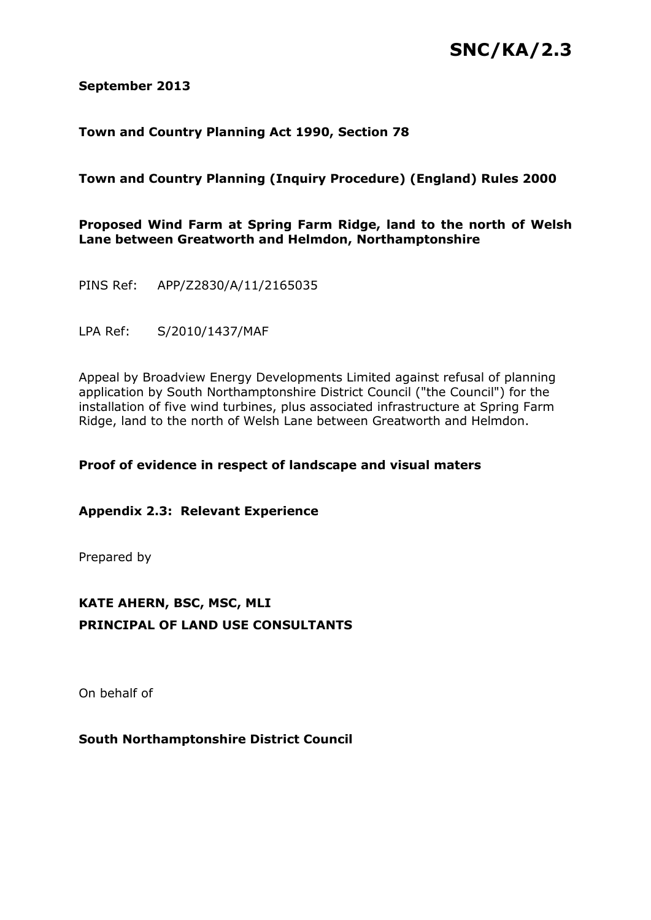# **SNC/KA/2.3**

#### **September 2013**

### **Town and Country Planning Act 1990, Section 78**

### **Town and Country Planning (Inquiry Procedure) (England) Rules 2000**

### **Proposed Wind Farm at Spring Farm Ridge, land to the north of Welsh Lane between Greatworth and Helmdon, Northamptonshire**

PINS Ref: APP/Z2830/A/11/2165035

LPA Ref: S/2010/1437/MAF

Appeal by Broadview Energy Developments Limited against refusal of planning application by South Northamptonshire District Council ("the Council") for the installation of five wind turbines, plus associated infrastructure at Spring Farm Ridge, land to the north of Welsh Lane between Greatworth and Helmdon.

### **Proof of evidence in respect of landscape and visual maters**

**Appendix 2.3: Relevant Experience**

Prepared by

## **KATE AHERN, BSC, MSC, MLI PRINCIPAL OF LAND USE CONSULTANTS**

On behalf of

### **South Northamptonshire District Council**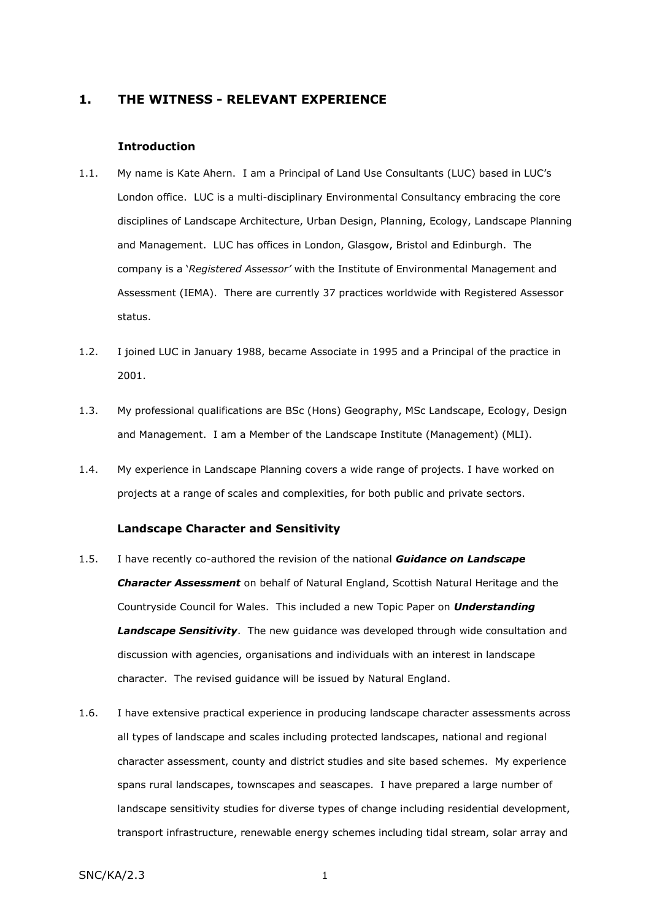#### **1. THE WITNESS - RELEVANT EXPERIENCE**

#### **Introduction**

- 1.1. My name is Kate Ahern. I am a Principal of Land Use Consultants (LUC) based in LUC's London office. LUC is a multi-disciplinary Environmental Consultancy embracing the core disciplines of Landscape Architecture, Urban Design, Planning, Ecology, Landscape Planning and Management. LUC has offices in London, Glasgow, Bristol and Edinburgh. The company is a '*Registered Assessor'* with the Institute of Environmental Management and Assessment (IEMA). There are currently 37 practices worldwide with Registered Assessor status.
- 1.2. I joined LUC in January 1988, became Associate in 1995 and a Principal of the practice in 2001.
- 1.3. My professional qualifications are BSc (Hons) Geography, MSc Landscape, Ecology, Design and Management. I am a Member of the Landscape Institute (Management) (MLI).
- 1.4. My experience in Landscape Planning covers a wide range of projects. I have worked on projects at a range of scales and complexities, for both public and private sectors.

#### **Landscape Character and Sensitivity**

- 1.5. I have recently co-authored the revision of the national *Guidance on Landscape Character Assessment* on behalf of Natural England, Scottish Natural Heritage and the Countryside Council for Wales. This included a new Topic Paper on *Understanding Landscape Sensitivity*. The new guidance was developed through wide consultation and discussion with agencies, organisations and individuals with an interest in landscape character. The revised guidance will be issued by Natural England.
- 1.6. I have extensive practical experience in producing landscape character assessments across all types of landscape and scales including protected landscapes, national and regional character assessment, county and district studies and site based schemes. My experience spans rural landscapes, townscapes and seascapes. I have prepared a large number of landscape sensitivity studies for diverse types of change including residential development, transport infrastructure, renewable energy schemes including tidal stream, solar array and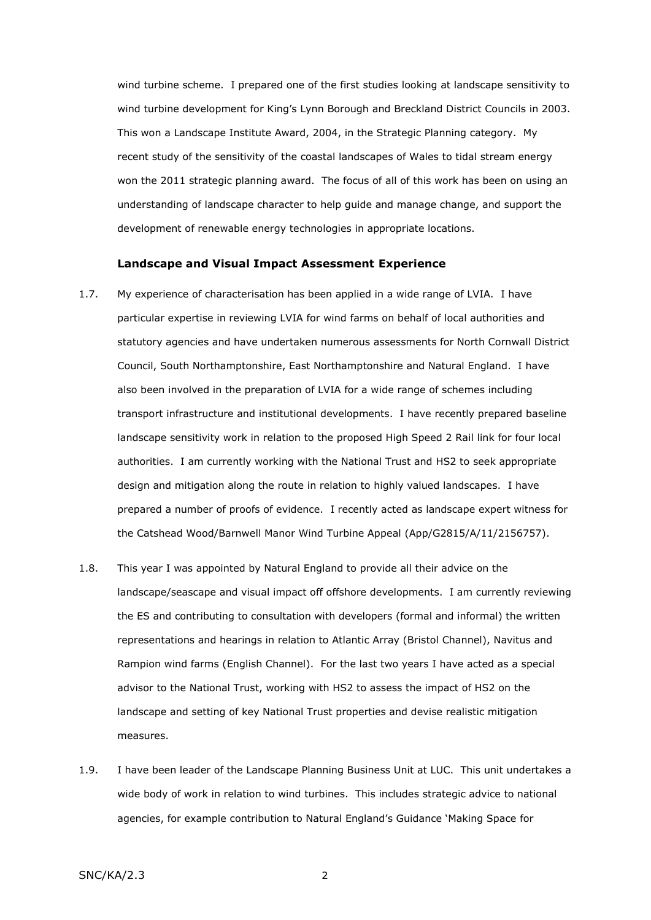wind turbine scheme. I prepared one of the first studies looking at landscape sensitivity to wind turbine development for King's Lynn Borough and Breckland District Councils in 2003. This won a Landscape Institute Award, 2004, in the Strategic Planning category. My recent study of the sensitivity of the coastal landscapes of Wales to tidal stream energy won the 2011 strategic planning award. The focus of all of this work has been on using an understanding of landscape character to help guide and manage change, and support the development of renewable energy technologies in appropriate locations.

#### **Landscape and Visual Impact Assessment Experience**

- 1.7. My experience of characterisation has been applied in a wide range of LVIA. I have particular expertise in reviewing LVIA for wind farms on behalf of local authorities and statutory agencies and have undertaken numerous assessments for North Cornwall District Council, South Northamptonshire, East Northamptonshire and Natural England. I have also been involved in the preparation of LVIA for a wide range of schemes including transport infrastructure and institutional developments. I have recently prepared baseline landscape sensitivity work in relation to the proposed High Speed 2 Rail link for four local authorities. I am currently working with the National Trust and HS2 to seek appropriate design and mitigation along the route in relation to highly valued landscapes. I have prepared a number of proofs of evidence. I recently acted as landscape expert witness for the Catshead Wood/Barnwell Manor Wind Turbine Appeal (App/G2815/A/11/2156757).
- 1.8. This year I was appointed by Natural England to provide all their advice on the landscape/seascape and visual impact off offshore developments. I am currently reviewing the ES and contributing to consultation with developers (formal and informal) the written representations and hearings in relation to Atlantic Array (Bristol Channel), Navitus and Rampion wind farms (English Channel). For the last two years I have acted as a special advisor to the National Trust, working with HS2 to assess the impact of HS2 on the landscape and setting of key National Trust properties and devise realistic mitigation measures.
- 1.9. I have been leader of the Landscape Planning Business Unit at LUC. This unit undertakes a wide body of work in relation to wind turbines. This includes strategic advice to national agencies, for example contribution to Natural England's Guidance 'Making Space for